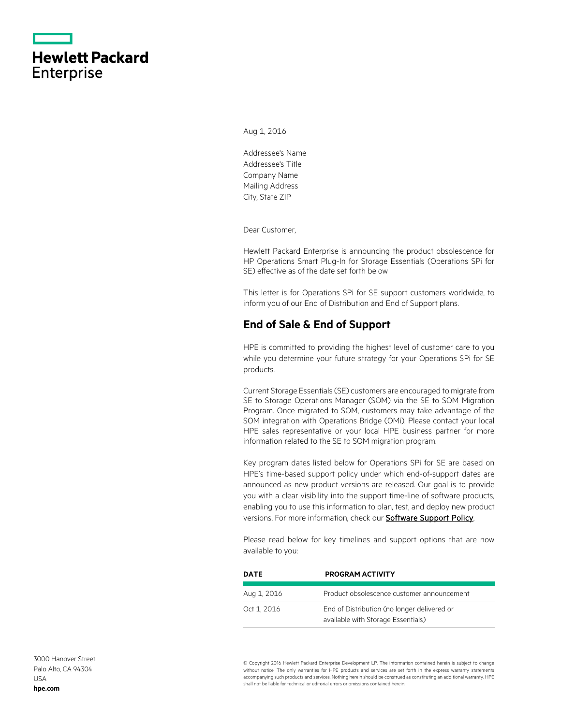|                   | <b>Hewlett Packard</b> |
|-------------------|------------------------|
| <b>Enterprise</b> |                        |

Aug 1, 2016

Addressee's Name Addressee's Title Company Name Mailing Address City, State ZIP

Dear Customer,

Hewlett Packard Enterprise is announcing the product obsolescence for HP Operations Smart Plug-In for Storage Essentials (Operations SPi for SE) effective as of the date set forth below

This letter is for Operations SPi for SE support customers worldwide, to inform you of our End of Distribution and End of Support plans.

## **End of Sale & End of Support**

HPE is committed to providing the highest level of customer care to you while you determine your future strategy for your Operations SPi for SE products.

Current Storage Essentials (SE) customers are encouraged to migrate from SE to Storage Operations Manager (SOM) via the SE to SOM Migration Program. Once migrated to SOM, customers may take advantage of the SOM integration with Operations Bridge (OMi). Please contact your local HPE sales representative or your local HPE business partner for more information related to the SE to SOM migration program.

Key program dates listed below for Operations SPi for SE are based on HPE's time-based support policy under which end-of-support dates are announced as new product versions are released. Our goal is to provide you with a clear visibility into the support time-line of software products, enabling you to use this information to plan, test, and deploy new product versions. For more information, check ou[r Software Support Policy.](https://softwaresupport.hpe.com/web/softwaresupport/document/-/facetsearch/document/KM01510370)

Please read below for key timelines and support options that are now available to you:

| DATE        | <b>PROGRAM ACTIVITY</b>                                                           |
|-------------|-----------------------------------------------------------------------------------|
| Aug 1, 2016 | Product obsolescence customer announcement                                        |
| Oct 1, 2016 | End of Distribution (no longer delivered or<br>available with Storage Essentials) |

© Copyright 2016 Hewlett Packard Enterprise Development LP. The information contained herein is subject to change without notice. The only warranties for HPE products and services are set forth in the express warranty statements accompanying such products and services. Nothing herein should be construed as constituting an additional warranty. HPE shall not be liable for technical or editorial errors or omissions contained herein.

3000 Hanover Street Palo Alto, CA 94304 USA **[hpe.com](http://www.hpe.com/)**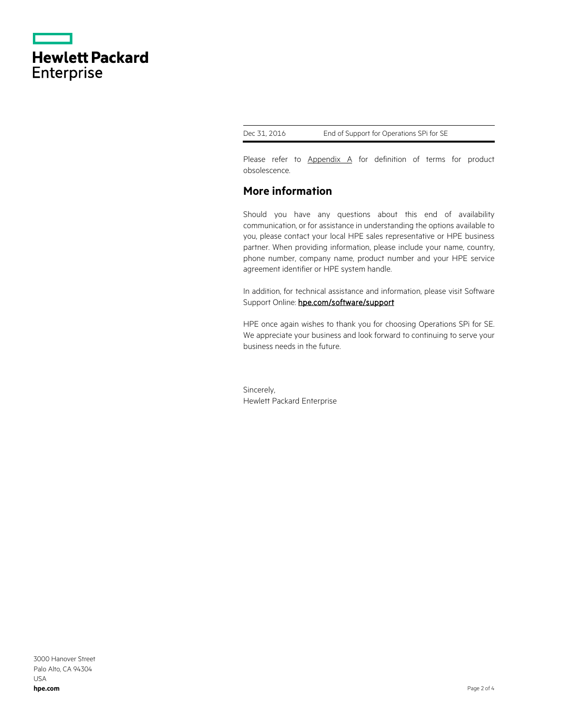|                   | <b>Hewlett Packard</b> |  |
|-------------------|------------------------|--|
| <b>Enterprise</b> |                        |  |

Dec 31, 2016 End of Support for Operations SPi for SE

Please refer to [Appendix A](#page-2-0) for definition of terms for product obsolescence.

## **More information**

Should you have any questions about this end of availability communication, or for assistance in understanding the options available to you, please contact your local HPE sales representative or HPE business partner. When providing information, please include your name, country, phone number, company name, product number and your HPE service agreement identifier or HPE system handle.

In addition, for technical assistance and information, please visit Software Support Online: hpe.com/software/support

HPE once again wishes to thank you for choosing Operations SPi for SE. We appreciate your business and look forward to continuing to serve your business needs in the future.

Sincerely, Hewlett Packard Enterprise

3000 Hanover Street Palo Alto, CA 94304 USA **[hpe.com](http://www.hpe.com/)**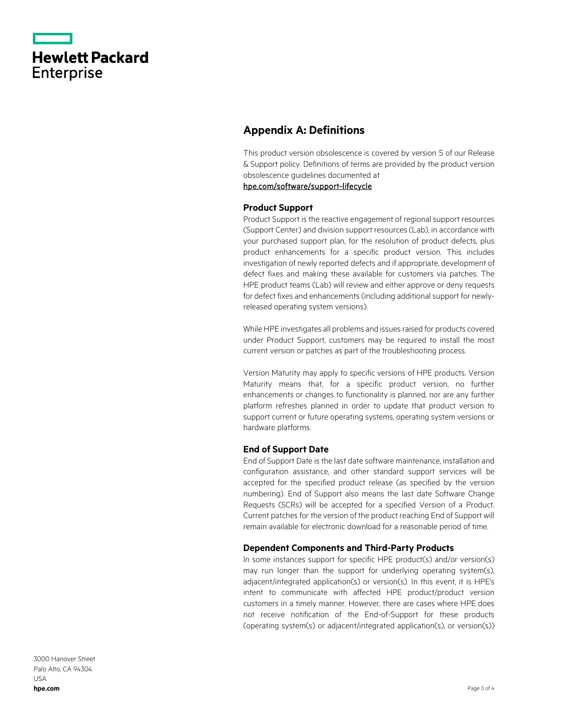|                   | <b>Hewlett Packard</b> |
|-------------------|------------------------|
| <b>Enterprise</b> |                        |

# <span id="page-2-0"></span>**Appendix A: Definitions**

This product version obsolescence is covered by version 5 of our Release & Support policy. Definitions of terms are provided by the product version obsolescence guidelines documented at

[hpe.com/software/support-lifecycle](https://www.hpe.com/software/support-lifecycle)

### **Product Support**

Product Support is the reactive engagement of regional support resources (Support Center) and division support resources (Lab), in accordance with your purchased support plan, for the resolution of product defects, plus product enhancements for a specific product version. This includes investigation of newly reported defects and if appropriate, development of defect fixes and making these available for customers via patches. The HPE product teams (Lab) will review and either approve or deny requests for defect fixes and enhancements (including additional support for newlyreleased operating system versions).

While HPE investigates all problems and issues raised for products covered under Product Support, customers may be required to install the most current version or patches as part of the troubleshooting process.

Version Maturity may apply to specific versions of HPE products. Version Maturity means that, for a specific product version, no further enhancements or changes to functionality is planned, nor are any further platform refreshes planned in order to update that product version to support current or future operating systems, operating system versions or hardware platforms.

#### **End of Support Date**

End of Support Date is the last date software maintenance, installation and configuration assistance, and other standard support services will be accepted for the specified product release (as specified by the version numbering). End of Support also means the last date Software Change Requests (SCRs) will be accepted for a specified Version of a Product. Current patches for the version of the product reaching End of Support will remain available for electronic download for a reasonable period of time.

### **Dependent Components and Third-Party Products**

In some instances support for specific HPE product(s) and/or version(s) may run longer than the support for underlying operating system(s), adjacent/integrated application(s) or version(s). In this event, it is HPE's intent to communicate with affected HPE product/product version customers in a timely manner. However, there are cases where HPE does not receive notification of the End-of-Support for these products (operating system(s) or adjacent/integrated application(s), or version(s))